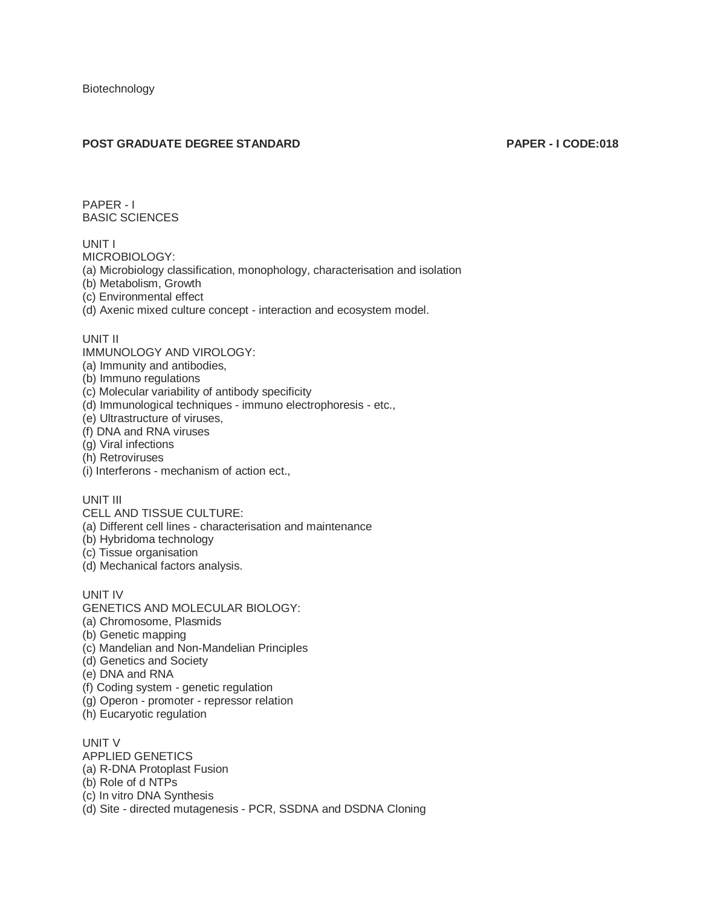## **POST GRADUATE DEGREE STANDARD PAPER - I CODE:018**

PAPER - I BASIC SCIENCES

UNIT I

MICROBIOLOGY:

(a) Microbiology classification, monophology, characterisation and isolation

(b) Metabolism, Growth

(c) Environmental effect

(d) Axenic mixed culture concept - interaction and ecosystem model.

## UNIT II

IMMUNOLOGY AND VIROLOGY:

(a) Immunity and antibodies,

(b) Immuno regulations

(c) Molecular variability of antibody specificity

(d) Immunological techniques - immuno electrophoresis - etc.,

(e) Ultrastructure of viruses,

(f) DNA and RNA viruses

(g) Viral infections

(h) Retroviruses

(i) Interferons - mechanism of action ect.,

UNIT III

CELL AND TISSUE CULTURE:

(a) Different cell lines - characterisation and maintenance

(b) Hybridoma technology

(c) Tissue organisation

(d) Mechanical factors analysis.

UNIT IV

GENETICS AND MOLECULAR BIOLOGY:

(a) Chromosome, Plasmids

(b) Genetic mapping

(c) Mandelian and Non-Mandelian Principles

(d) Genetics and Society

(e) DNA and RNA

(f) Coding system - genetic regulation

(g) Operon - promoter - repressor relation

(h) Eucaryotic regulation

UNIT V APPLIED GENETICS (a) R-DNA Protoplast Fusion (b) Role of d NTPs (c) In vitro DNA Synthesis (d) Site - directed mutagenesis - PCR, SSDNA and DSDNA Cloning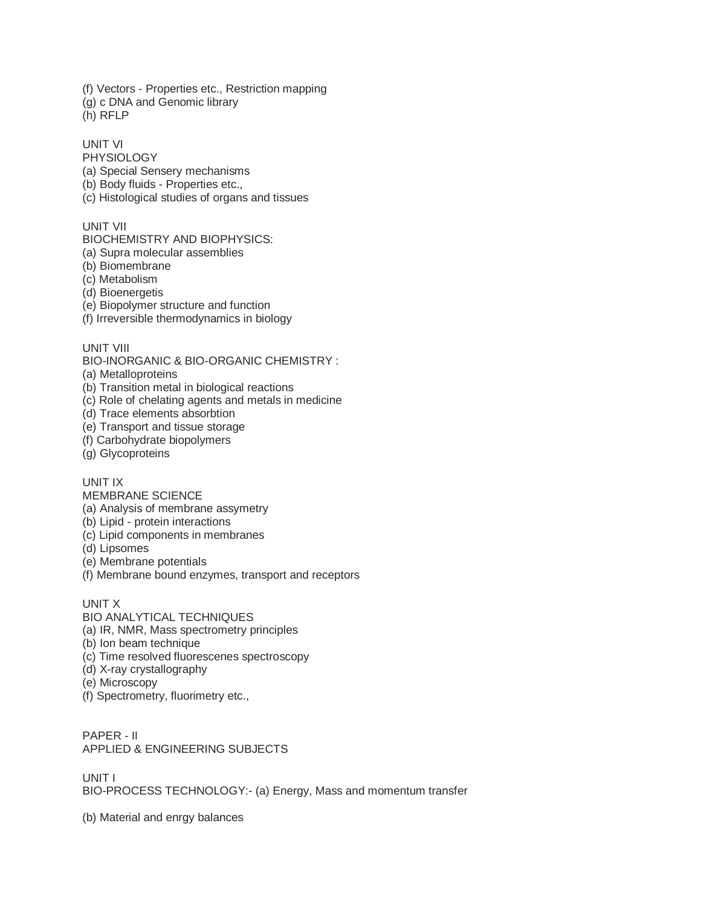(f) Vectors - Properties etc., Restriction mapping (g) c DNA and Genomic library

(h) RFLP

UNIT VI

PHYSIOLOGY (a) Special Sensery mechanisms

(b) Body fluids - Properties etc.,

(c) Histological studies of organs and tissues

UNIT VII

BIOCHEMISTRY AND BIOPHYSICS:

(a) Supra molecular assemblies

(b) Biomembrane

(c) Metabolism

(d) Bioenergetis

(e) Biopolymer structure and function

(f) Irreversible thermodynamics in biology

UNIT VIII

BIO-INORGANIC & BIO-ORGANIC CHEMISTRY :

(a) Metalloproteins

(b) Transition metal in biological reactions

(c) Role of chelating agents and metals in medicine

(d) Trace elements absorbtion

(e) Transport and tissue storage

(f) Carbohydrate biopolymers

(g) Glycoproteins

UNIT IX

MEMBRANE SCIENCE

(a) Analysis of membrane assymetry

(b) Lipid - protein interactions

(c) Lipid components in membranes

(d) Lipsomes

(e) Membrane potentials

(f) Membrane bound enzymes, transport and receptors

UNIT X

BIO ANALYTICAL TECHNIQUES

(a) IR, NMR, Mass spectrometry principles

(b) Ion beam technique

(c) Time resolved fluorescenes spectroscopy

(d) X-ray crystallography

(e) Microscopy

(f) Spectrometry, fluorimetry etc.,

PAPER - II APPLIED & ENGINEERING SUBJECTS

UNIT I BIO-PROCESS TECHNOLOGY:- (a) Energy, Mass and momentum transfer

(b) Material and enrgy balances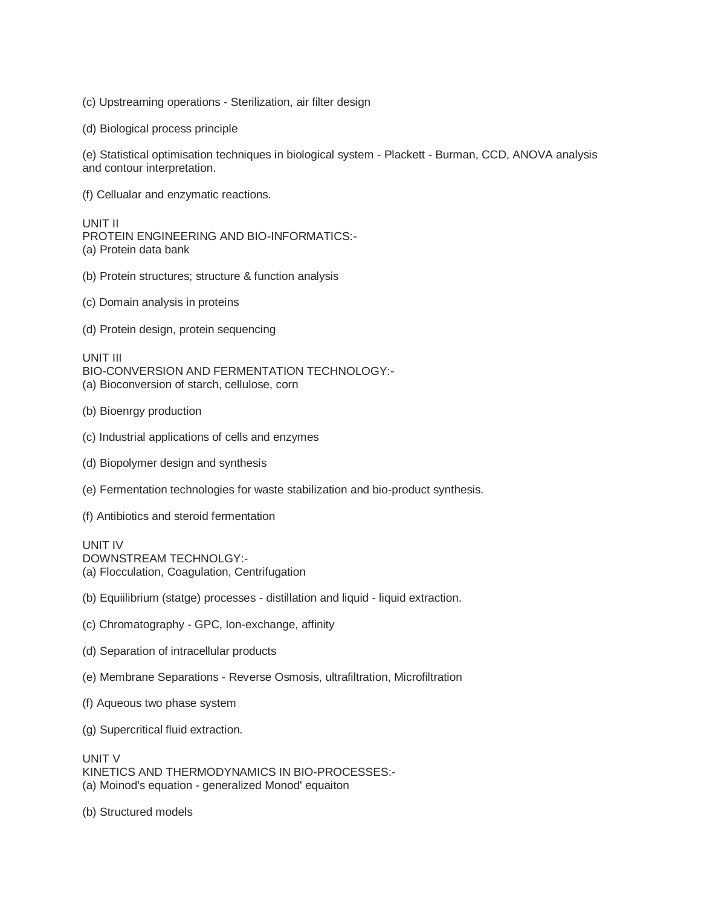(c) Upstreaming operations - Sterilization, air filter design

(d) Biological process principle

(e) Statistical optimisation techniques in biological system - Plackett - Burman, CCD, ANOVA analysis and contour interpretation.

(f) Cellualar and enzymatic reactions.

UNIT II

PROTEIN ENGINEERING AND BIO-INFORMATICS:- (a) Protein data bank

- (b) Protein structures; structure & function analysis
- (c) Domain analysis in proteins

(d) Protein design, protein sequencing

UNIT III BIO-CONVERSION AND FERMENTATION TECHNOLOGY:- (a) Bioconversion of starch, cellulose, corn

- (b) Bioenrgy production
- (c) Industrial applications of cells and enzymes
- (d) Biopolymer design and synthesis

(e) Fermentation technologies for waste stabilization and bio-product synthesis.

(f) Antibiotics and steroid fermentation

UNIT IV DOWNSTREAM TECHNOLGY:- (a) Flocculation, Coagulation, Centrifugation

- (b) Equiilibrium (statge) processes distillation and liquid liquid extraction.
- (c) Chromatography GPC, Ion-exchange, affinity
- (d) Separation of intracellular products
- (e) Membrane Separations Reverse Osmosis, ultrafiltration, Microfiltration
- (f) Aqueous two phase system
- (g) Supercritical fluid extraction.

UNIT V KINETICS AND THERMODYNAMICS IN BIO-PROCESSES:- (a) Moinod's equation - generalized Monod' equaiton

(b) Structured models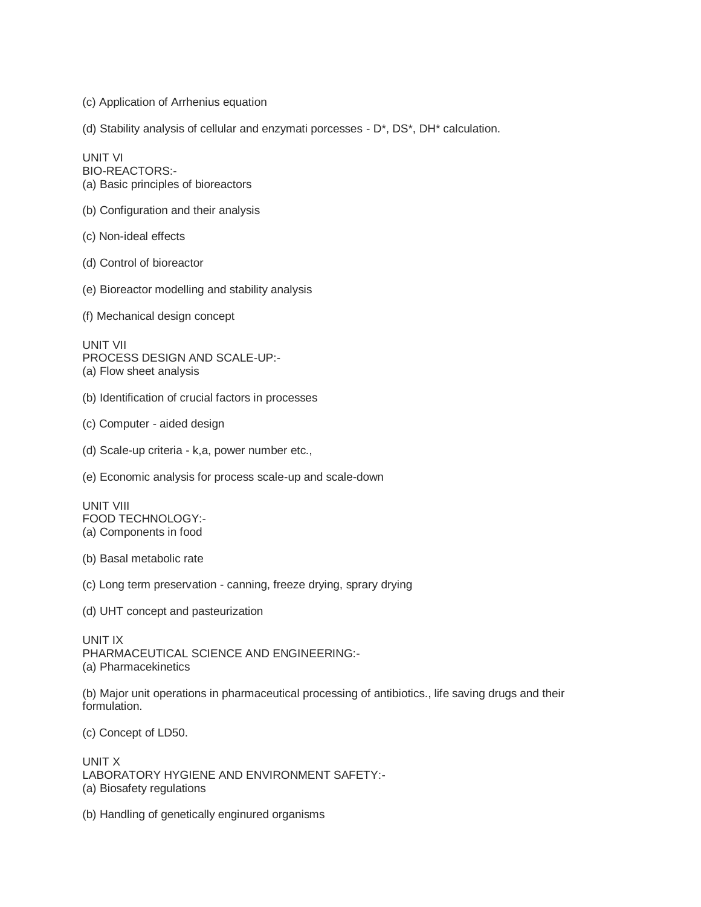(c) Application of Arrhenius equation

(d) Stability analysis of cellular and enzymati porcesses - D\*, DS\*, DH\* calculation.

UNIT VI BIO-REACTORS:- (a) Basic principles of bioreactors

(b) Configuration and their analysis

(c) Non-ideal effects

(d) Control of bioreactor

(e) Bioreactor modelling and stability analysis

(f) Mechanical design concept

UNIT VII PROCESS DESIGN AND SCALE-UP:- (a) Flow sheet analysis

(b) Identification of crucial factors in processes

(c) Computer - aided design

(d) Scale-up criteria - k,a, power number etc.,

(e) Economic analysis for process scale-up and scale-down

UNIT VIII FOOD TECHNOLOGY:- (a) Components in food

(b) Basal metabolic rate

(c) Long term preservation - canning, freeze drying, sprary drying

(d) UHT concept and pasteurization

UNIT IX PHARMACEUTICAL SCIENCE AND ENGINEERING:- (a) Pharmacekinetics

(b) Major unit operations in pharmaceutical processing of antibiotics., life saving drugs and their formulation.

(c) Concept of LD50.

UNIT X LABORATORY HYGIENE AND ENVIRONMENT SAFETY:- (a) Biosafety regulations

(b) Handling of genetically enginured organisms